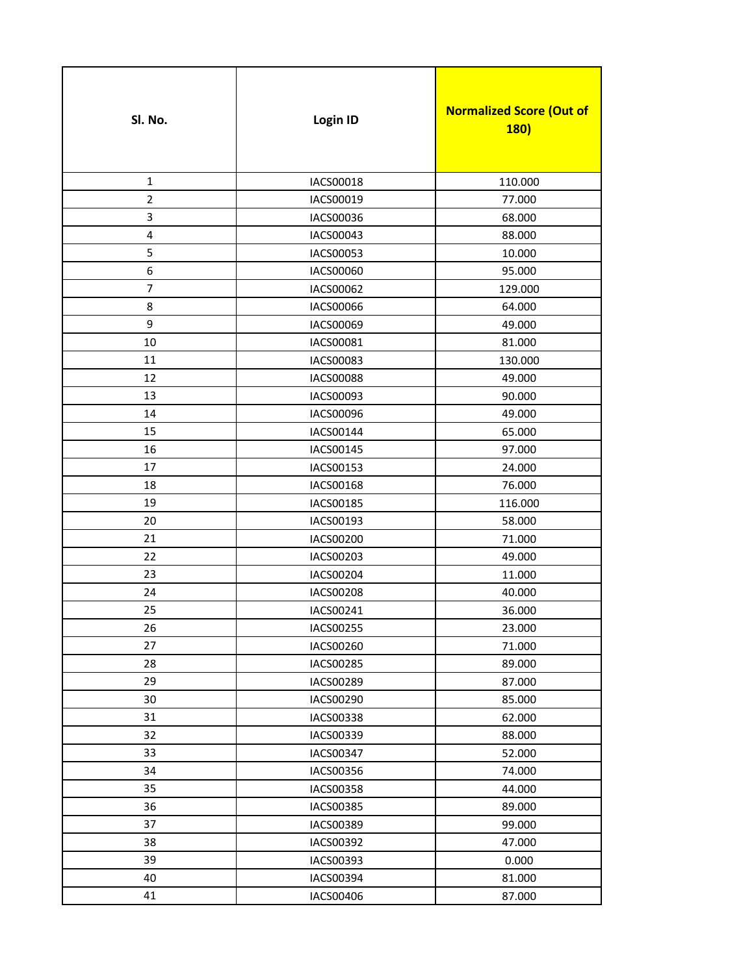| SI. No.        | Login ID         | <b>Normalized Score (Out of</b><br><b>180)</b> |
|----------------|------------------|------------------------------------------------|
| $\mathbf{1}$   | IACS00018        | 110.000                                        |
| $\overline{2}$ | IACS00019        | 77.000                                         |
| 3              | IACS00036        | 68.000                                         |
| 4              | IACS00043        | 88.000                                         |
| 5              | IACS00053        | 10.000                                         |
| 6              | IACS00060        | 95.000                                         |
| 7              | IACS00062        | 129.000                                        |
| 8              | IACS00066        | 64.000                                         |
| 9              | IACS00069        | 49.000                                         |
| 10             | IACS00081        | 81.000                                         |
| 11             | IACS00083        | 130.000                                        |
| 12             | <b>IACS00088</b> | 49.000                                         |
| 13             | IACS00093        | 90.000                                         |
| 14             | IACS00096        | 49.000                                         |
| 15             | IACS00144        | 65.000                                         |
| 16             | IACS00145        | 97.000                                         |
| 17             | IACS00153        | 24.000                                         |
| 18             | IACS00168        | 76.000                                         |
| 19             | IACS00185        | 116.000                                        |
| 20             | IACS00193        | 58.000                                         |
| 21             | IACS00200        | 71.000                                         |
| 22             | IACS00203        | 49.000                                         |
| 23             | IACS00204        | 11.000                                         |
| 24             | <b>IACS00208</b> | 40.000                                         |
| 25             | IACS00241        | 36.000                                         |
| 26             | IACS00255        | 23.000                                         |
| 27             | IACS00260        | 71.000                                         |
| 28             | IACS00285        | 89.000                                         |
| 29             | IACS00289        | 87.000                                         |
| 30             | IACS00290        | 85.000                                         |
| 31             | <b>IACS00338</b> | 62.000                                         |
| 32             | IACS00339        | 88.000                                         |
| 33             | IACS00347        | 52.000                                         |
| 34             | IACS00356        | 74.000                                         |
| 35             | IACS00358        | 44.000                                         |
| 36             | IACS00385        | 89.000                                         |
| 37             | IACS00389        | 99.000                                         |
| 38             | IACS00392        | 47.000                                         |
| 39             | IACS00393        | 0.000                                          |
| 40             | IACS00394        | 81.000                                         |
| 41             | IACS00406        | 87.000                                         |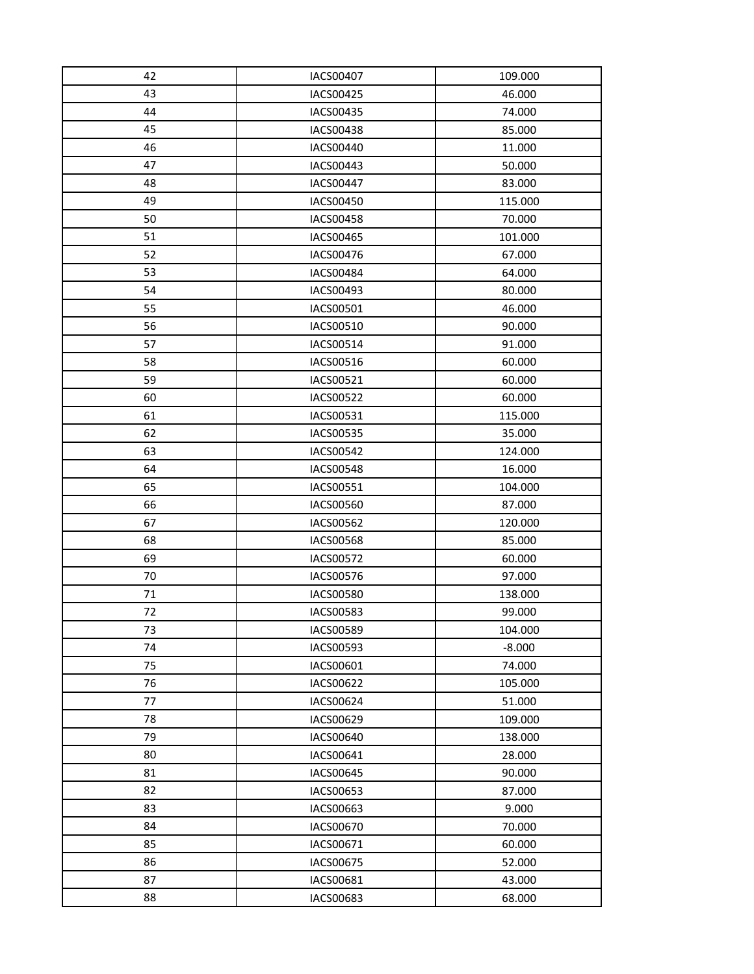| 42 | IACS00407        | 109.000  |
|----|------------------|----------|
| 43 | IACS00425        | 46.000   |
| 44 | IACS00435        | 74.000   |
| 45 | IACS00438        | 85.000   |
| 46 | <b>IACS00440</b> | 11.000   |
| 47 | IACS00443        | 50.000   |
| 48 | IACS00447        | 83.000   |
| 49 | IACS00450        | 115.000  |
| 50 | IACS00458        | 70.000   |
| 51 | IACS00465        | 101.000  |
| 52 | IACS00476        | 67.000   |
| 53 | <b>IACS00484</b> | 64.000   |
| 54 | IACS00493        | 80.000   |
| 55 | IACS00501        | 46.000   |
| 56 | IACS00510        | 90.000   |
| 57 | IACS00514        | 91.000   |
| 58 | IACS00516        | 60.000   |
| 59 | IACS00521        | 60.000   |
| 60 | <b>IACS00522</b> | 60.000   |
| 61 | IACS00531        | 115.000  |
| 62 | IACS00535        | 35.000   |
| 63 | <b>IACS00542</b> | 124.000  |
| 64 | IACS00548        | 16.000   |
| 65 | IACS00551        | 104.000  |
| 66 | <b>IACS00560</b> | 87.000   |
| 67 | IACS00562        | 120.000  |
| 68 | <b>IACS00568</b> | 85.000   |
| 69 | IACS00572        | 60.000   |
| 70 | IACS00576        | 97.000   |
| 71 | IACS00580        | 138.000  |
| 72 | <b>IACS00583</b> | 99.000   |
| 73 | IACS00589        | 104.000  |
| 74 | IACS00593        | $-8.000$ |
| 75 | IACS00601        | 74.000   |
| 76 | IACS00622        | 105.000  |
| 77 | IACS00624        | 51.000   |
| 78 | IACS00629        | 109.000  |
| 79 | IACS00640        | 138.000  |
| 80 | IACS00641        | 28.000   |
| 81 | IACS00645        | 90.000   |
| 82 | IACS00653        | 87.000   |
| 83 | IACS00663        | 9.000    |
| 84 | IACS00670        | 70.000   |
| 85 | IACS00671        | 60.000   |
| 86 | IACS00675        | 52.000   |
| 87 | IACS00681        | 43.000   |
| 88 | IACS00683        | 68.000   |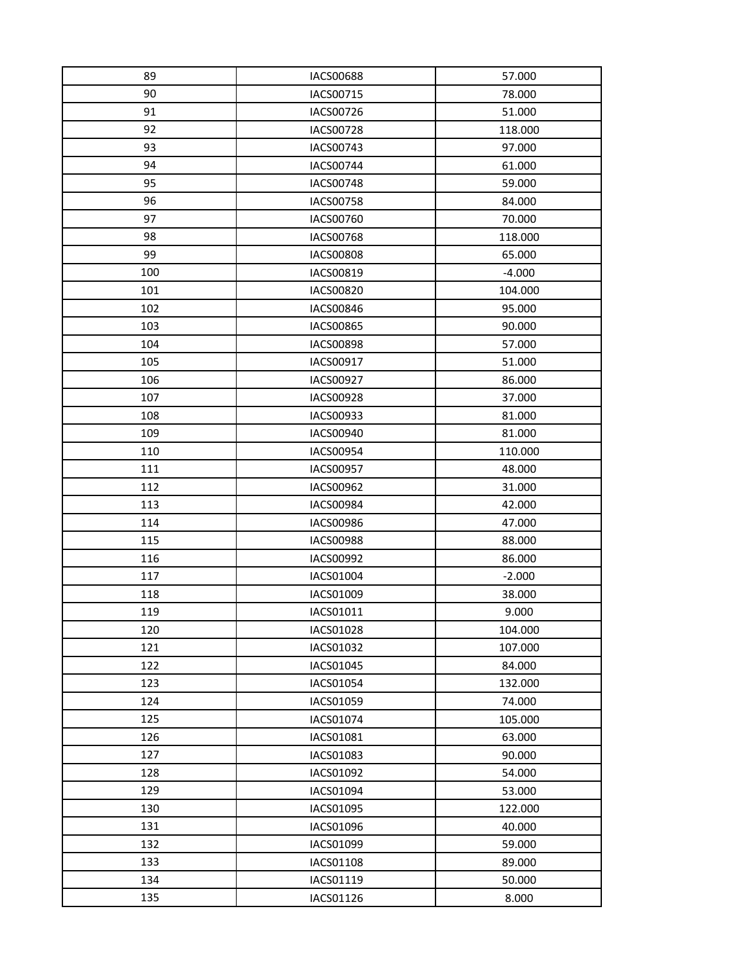| 89  | <b>IACS00688</b> | 57.000   |
|-----|------------------|----------|
| 90  | IACS00715        | 78.000   |
| 91  | IACS00726        | 51.000   |
| 92  | <b>IACS00728</b> | 118.000  |
| 93  | IACS00743        | 97.000   |
| 94  | IACS00744        | 61.000   |
| 95  | IACS00748        | 59.000   |
| 96  | <b>IACS00758</b> | 84.000   |
| 97  | IACS00760        | 70.000   |
| 98  | <b>IACS00768</b> | 118.000  |
| 99  | <b>IACS00808</b> | 65.000   |
| 100 | IACS00819        | $-4.000$ |
| 101 | <b>IACS00820</b> | 104.000  |
| 102 | IACS00846        | 95.000   |
| 103 | <b>IACS00865</b> | 90.000   |
| 104 | <b>IACS00898</b> | 57.000   |
| 105 | IACS00917        | 51.000   |
| 106 | IACS00927        | 86.000   |
| 107 | <b>IACS00928</b> | 37.000   |
| 108 | IACS00933        | 81.000   |
| 109 | IACS00940        | 81.000   |
| 110 | IACS00954        | 110.000  |
| 111 | IACS00957        | 48.000   |
| 112 | IACS00962        | 31.000   |
| 113 | IACS00984        | 42.000   |
| 114 | IACS00986        | 47.000   |
| 115 | <b>IACS00988</b> | 88.000   |
| 116 | IACS00992        | 86.000   |
| 117 | IACS01004        | $-2.000$ |
| 118 | IACS01009        | 38.000   |
| 119 | IACS01011        | 9.000    |
| 120 | IACS01028        | 104.000  |
| 121 | IACS01032        | 107.000  |
| 122 | IACS01045        | 84.000   |
| 123 | IACS01054        | 132.000  |
| 124 | IACS01059        | 74.000   |
| 125 | IACS01074        | 105.000  |
| 126 | IACS01081        | 63.000   |
| 127 | IACS01083        | 90.000   |
| 128 | IACS01092        | 54.000   |
| 129 | IACS01094        | 53.000   |
| 130 | IACS01095        | 122.000  |
| 131 | IACS01096        | 40.000   |
| 132 | IACS01099        | 59.000   |
| 133 | IACS01108        | 89.000   |
| 134 | IACS01119        | 50.000   |
| 135 | IACS01126        | 8.000    |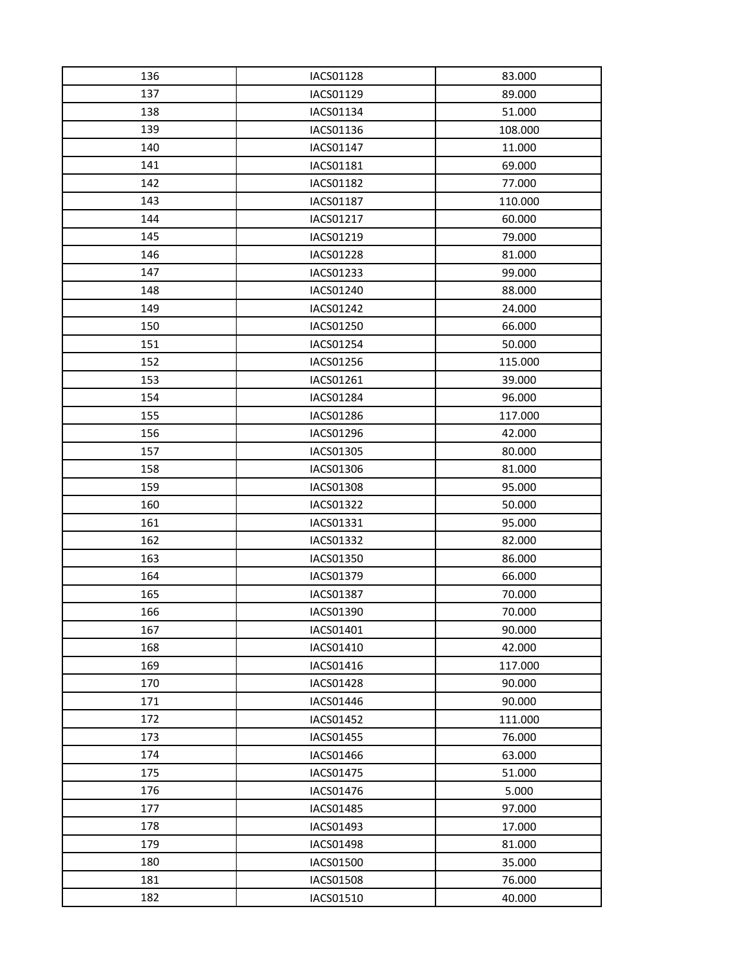| 136 | IACS01128        | 83.000  |
|-----|------------------|---------|
| 137 | IACS01129        | 89.000  |
| 138 | IACS01134        | 51.000  |
| 139 | IACS01136        | 108.000 |
| 140 | IACS01147        | 11.000  |
| 141 | IACS01181        | 69.000  |
| 142 | IACS01182        | 77.000  |
| 143 | IACS01187        | 110.000 |
| 144 | IACS01217        | 60.000  |
| 145 | IACS01219        | 79.000  |
| 146 | IACS01228        | 81.000  |
| 147 | IACS01233        | 99.000  |
| 148 | IACS01240        | 88.000  |
| 149 | IACS01242        | 24.000  |
| 150 | IACS01250        | 66.000  |
| 151 | IACS01254        | 50.000  |
| 152 | IACS01256        | 115.000 |
| 153 | IACS01261        | 39.000  |
| 154 | IACS01284        | 96.000  |
| 155 | IACS01286        | 117.000 |
| 156 | IACS01296        | 42.000  |
| 157 | IACS01305        | 80.000  |
| 158 | IACS01306        | 81.000  |
| 159 | IACS01308        | 95.000  |
| 160 | IACS01322        | 50.000  |
| 161 | IACS01331        | 95.000  |
| 162 | IACS01332        | 82.000  |
| 163 | IACS01350        | 86.000  |
| 164 | IACS01379        | 66.000  |
| 165 | <b>IACS01387</b> | 70.000  |
| 166 | IACS01390        | 70.000  |
| 167 | IACS01401        | 90.000  |
| 168 | IACS01410        | 42.000  |
| 169 | IACS01416        | 117.000 |
| 170 | IACS01428        | 90.000  |
| 171 | IACS01446        | 90.000  |
| 172 | IACS01452        | 111.000 |
| 173 | IACS01455        | 76.000  |
| 174 | IACS01466        | 63.000  |
| 175 | IACS01475        | 51.000  |
| 176 | IACS01476        | 5.000   |
| 177 | IACS01485        | 97.000  |
| 178 | IACS01493        | 17.000  |
| 179 | IACS01498        | 81.000  |
| 180 | IACS01500        | 35.000  |
| 181 | <b>IACS01508</b> | 76.000  |
| 182 | IACS01510        | 40.000  |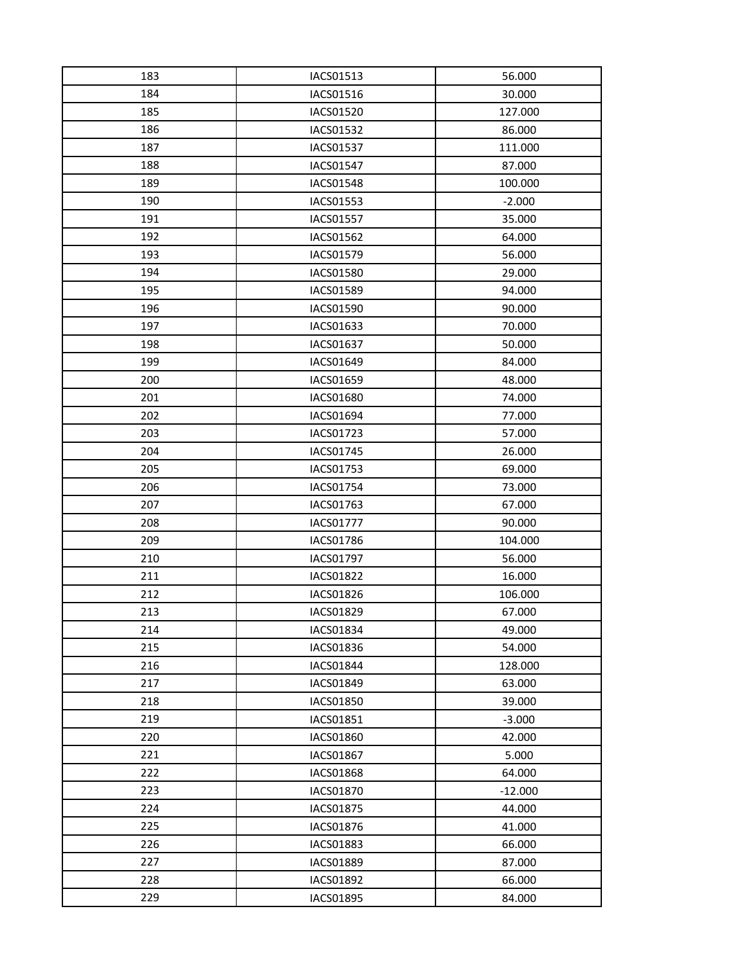| 183 | IACS01513        | 56.000    |
|-----|------------------|-----------|
| 184 | IACS01516        | 30.000    |
| 185 | IACS01520        | 127.000   |
| 186 | IACS01532        | 86.000    |
| 187 | IACS01537        | 111.000   |
| 188 | <b>IACS01547</b> | 87.000    |
| 189 | IACS01548        | 100.000   |
| 190 | IACS01553        | $-2.000$  |
| 191 | IACS01557        | 35.000    |
| 192 | IACS01562        | 64.000    |
| 193 | IACS01579        | 56.000    |
| 194 | <b>IACS01580</b> | 29.000    |
| 195 | IACS01589        | 94.000    |
| 196 | IACS01590        | 90.000    |
| 197 | IACS01633        | 70.000    |
| 198 | IACS01637        | 50.000    |
| 199 | IACS01649        | 84.000    |
| 200 | IACS01659        | 48.000    |
| 201 | <b>IACS01680</b> | 74.000    |
| 202 | IACS01694        | 77.000    |
| 203 | IACS01723        | 57.000    |
| 204 | IACS01745        | 26.000    |
| 205 | IACS01753        | 69.000    |
| 206 | IACS01754        | 73.000    |
| 207 | IACS01763        | 67.000    |
| 208 | IACS01777        | 90.000    |
| 209 | <b>IACS01786</b> | 104.000   |
| 210 | IACS01797        | 56.000    |
| 211 | IACS01822        | 16.000    |
| 212 | IACS01826        | 106.000   |
| 213 | IACS01829        | 67.000    |
| 214 | IACS01834        | 49.000    |
| 215 | IACS01836        | 54.000    |
| 216 | <b>IACS01844</b> | 128.000   |
| 217 | IACS01849        | 63.000    |
| 218 | <b>IACS01850</b> | 39.000    |
| 219 | IACS01851        | $-3.000$  |
| 220 | <b>IACS01860</b> | 42.000    |
| 221 | <b>IACS01867</b> | 5.000     |
| 222 | IACS01868        | 64.000    |
| 223 | <b>IACS01870</b> | $-12.000$ |
| 224 | IACS01875        | 44.000    |
| 225 | <b>IACS01876</b> | 41.000    |
| 226 | IACS01883        | 66.000    |
| 227 | IACS01889        | 87.000    |
| 228 | IACS01892        | 66.000    |
| 229 | IACS01895        | 84.000    |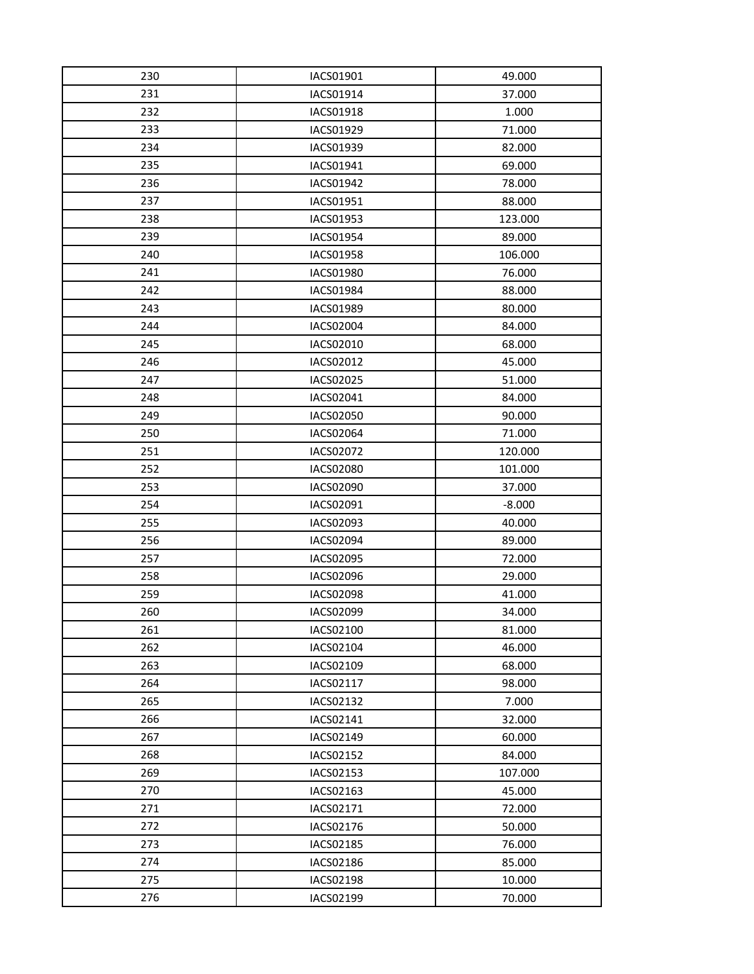| 230 | IACS01901        | 49.000   |
|-----|------------------|----------|
| 231 | IACS01914        | 37.000   |
| 232 | IACS01918        | 1.000    |
| 233 | IACS01929        | 71.000   |
| 234 | IACS01939        | 82.000   |
| 235 | IACS01941        | 69.000   |
| 236 | IACS01942        | 78.000   |
| 237 | IACS01951        | 88.000   |
| 238 | IACS01953        | 123.000  |
| 239 | IACS01954        | 89.000   |
| 240 | IACS01958        | 106.000  |
| 241 | IACS01980        | 76.000   |
| 242 | IACS01984        | 88.000   |
| 243 | <b>IACS01989</b> | 80.000   |
| 244 | <b>IACS02004</b> | 84.000   |
| 245 | IACS02010        | 68.000   |
| 246 | IACS02012        | 45.000   |
| 247 | IACS02025        | 51.000   |
| 248 | IACS02041        | 84.000   |
| 249 | <b>IACS02050</b> | 90.000   |
| 250 | IACS02064        | 71.000   |
| 251 | IACS02072        | 120.000  |
| 252 | IACS02080        | 101.000  |
| 253 | <b>IACS02090</b> | 37.000   |
| 254 | IACS02091        | $-8.000$ |
| 255 | IACS02093        | 40.000   |
| 256 | <b>IACS02094</b> | 89.000   |
| 257 | IACS02095        | 72.000   |
| 258 | IACS02096        | 29.000   |
| 259 | <b>IACS02098</b> | 41.000   |
| 260 | IACS02099        | 34.000   |
| 261 | IACS02100        | 81.000   |
| 262 | IACS02104        | 46.000   |
| 263 | IACS02109        | 68.000   |
| 264 | IACS02117        | 98.000   |
| 265 | IACS02132        | 7.000    |
| 266 | IACS02141        | 32.000   |
| 267 | IACS02149        | 60.000   |
| 268 | IACS02152        | 84.000   |
| 269 | IACS02153        | 107.000  |
| 270 | IACS02163        | 45.000   |
| 271 | IACS02171        | 72.000   |
| 272 | IACS02176        | 50.000   |
| 273 | IACS02185        | 76.000   |
| 274 | IACS02186        | 85.000   |
| 275 | IACS02198        | 10.000   |
| 276 | IACS02199        | 70.000   |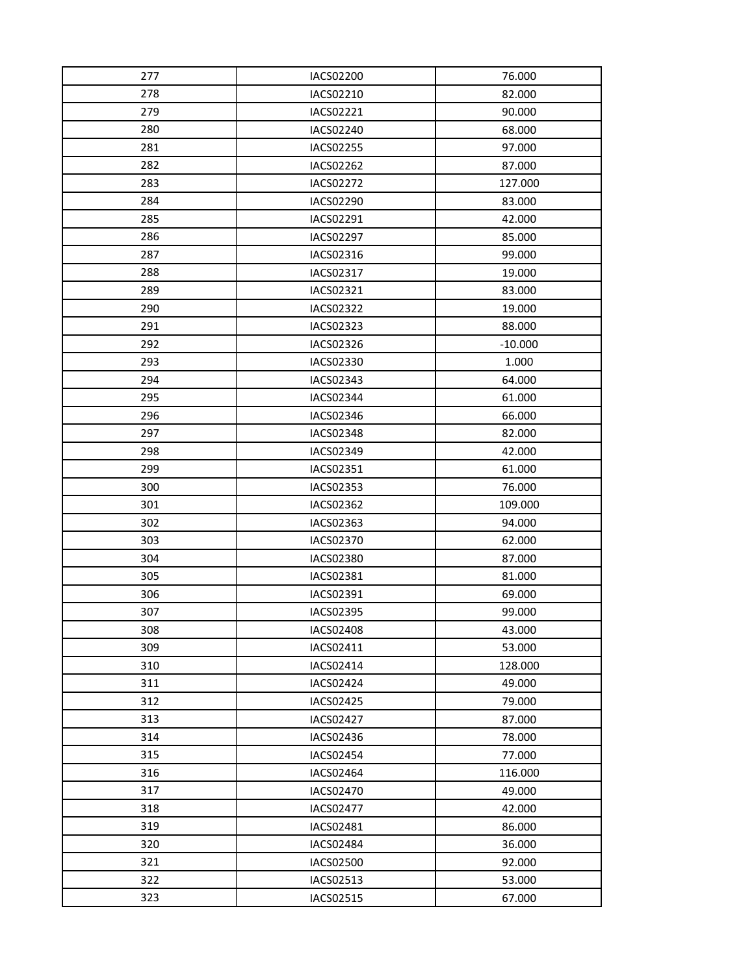| 277 | IACS02200        | 76.000    |
|-----|------------------|-----------|
| 278 | IACS02210        | 82.000    |
| 279 | IACS02221        | 90.000    |
| 280 | IACS02240        | 68.000    |
| 281 | IACS02255        | 97.000    |
| 282 | IACS02262        | 87.000    |
| 283 | IACS02272        | 127.000   |
| 284 | IACS02290        | 83.000    |
| 285 | IACS02291        | 42.000    |
| 286 | <b>IACS02297</b> | 85.000    |
| 287 | IACS02316        | 99.000    |
| 288 | IACS02317        | 19.000    |
| 289 | IACS02321        | 83.000    |
| 290 | IACS02322        | 19.000    |
| 291 | IACS02323        | 88.000    |
| 292 | IACS02326        | $-10.000$ |
| 293 | IACS02330        | 1.000     |
| 294 | IACS02343        | 64.000    |
| 295 | IACS02344        | 61.000    |
| 296 | IACS02346        | 66.000    |
| 297 | IACS02348        | 82.000    |
| 298 | IACS02349        | 42.000    |
| 299 | IACS02351        | 61.000    |
| 300 | IACS02353        | 76.000    |
| 301 | IACS02362        | 109.000   |
| 302 | IACS02363        | 94.000    |
| 303 | <b>IACS02370</b> | 62.000    |
| 304 | IACS02380        | 87.000    |
| 305 | IACS02381        | 81.000    |
| 306 | IACS02391        | 69.000    |
| 307 | IACS02395        | 99.000    |
| 308 | IACS02408        | 43.000    |
| 309 | IACS02411        | 53.000    |
| 310 | IACS02414        | 128.000   |
| 311 | IACS02424        | 49.000    |
| 312 | IACS02425        | 79.000    |
| 313 | IACS02427        | 87.000    |
| 314 | IACS02436        | 78.000    |
| 315 | <b>IACS02454</b> | 77.000    |
| 316 | IACS02464        | 116.000   |
| 317 | <b>IACS02470</b> | 49.000    |
| 318 | <b>IACS02477</b> | 42.000    |
| 319 | IACS02481        | 86.000    |
| 320 | IACS02484        | 36.000    |
| 321 | IACS02500        | 92.000    |
| 322 | IACS02513        | 53.000    |
| 323 | IACS02515        | 67.000    |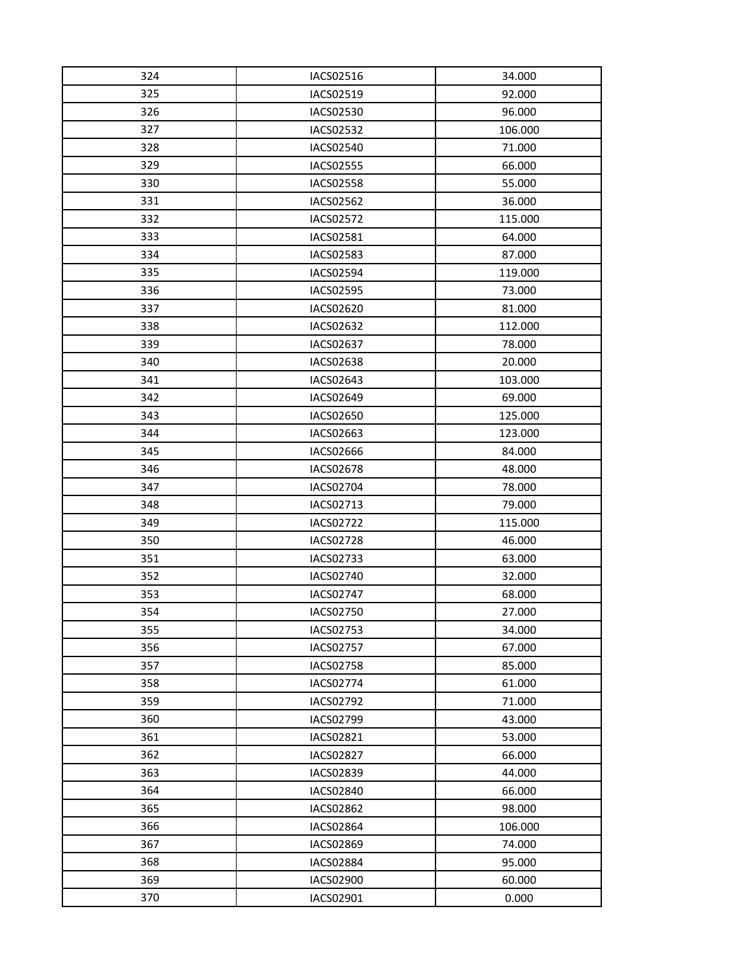| 324 | IACS02516        | 34.000  |
|-----|------------------|---------|
| 325 | IACS02519        | 92.000  |
| 326 | IACS02530        | 96.000  |
| 327 | IACS02532        | 106.000 |
| 328 | <b>IACS02540</b> | 71.000  |
| 329 | <b>IACS02555</b> | 66.000  |
| 330 | IACS02558        | 55.000  |
| 331 | <b>IACS02562</b> | 36.000  |
| 332 | IACS02572        | 115.000 |
| 333 | IACS02581        | 64.000  |
| 334 | IACS02583        | 87.000  |
| 335 | <b>IACS02594</b> | 119.000 |
| 336 | <b>IACS02595</b> | 73.000  |
| 337 | IACS02620        | 81.000  |
| 338 | IACS02632        | 112.000 |
| 339 | IACS02637        | 78.000  |
| 340 | <b>IACS02638</b> | 20.000  |
| 341 | IACS02643        | 103.000 |
| 342 | IACS02649        | 69.000  |
| 343 | <b>IACS02650</b> | 125.000 |
| 344 | IACS02663        | 123.000 |
| 345 | <b>IACS02666</b> | 84.000  |
| 346 | IACS02678        | 48.000  |
| 347 | IACS02704        | 78.000  |
| 348 | IACS02713        | 79.000  |
| 349 | IACS02722        | 115.000 |
| 350 | <b>IACS02728</b> | 46.000  |
| 351 | IACS02733        | 63.000  |
| 352 | IACS02740        | 32.000  |
| 353 | <b>IACS02747</b> | 68.000  |
| 354 | IACS02750        | 27.000  |
| 355 | IACS02753        | 34.000  |
| 356 | <b>IACS02757</b> | 67.000  |
| 357 | <b>IACS02758</b> | 85.000  |
| 358 | IACS02774        | 61.000  |
| 359 | IACS02792        | 71.000  |
| 360 | IACS02799        | 43.000  |
| 361 | IACS02821        | 53.000  |
| 362 | <b>IACS02827</b> | 66.000  |
| 363 | IACS02839        | 44.000  |
| 364 | <b>IACS02840</b> | 66.000  |
| 365 | <b>IACS02862</b> | 98.000  |
| 366 | <b>IACS02864</b> | 106.000 |
| 367 | <b>IACS02869</b> | 74.000  |
| 368 | IACS02884        | 95.000  |
| 369 | IACS02900        | 60.000  |
| 370 | IACS02901        | 0.000   |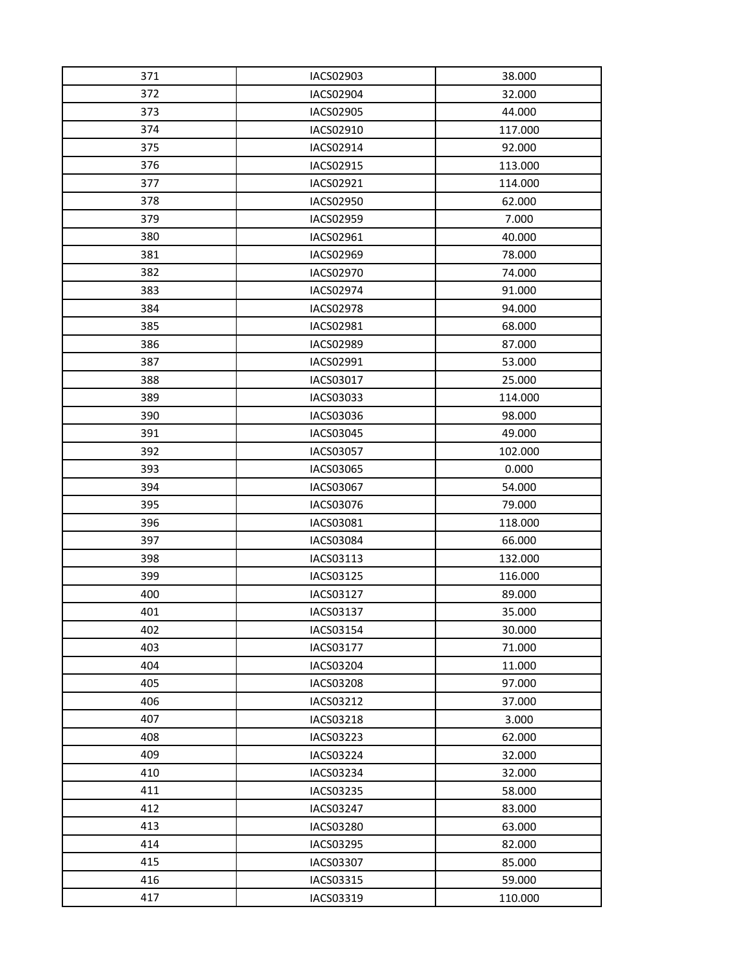| 371 | IACS02903        | 38.000  |
|-----|------------------|---------|
| 372 | IACS02904        | 32.000  |
| 373 | IACS02905        | 44.000  |
| 374 | IACS02910        | 117.000 |
| 375 | IACS02914        | 92.000  |
| 376 | IACS02915        | 113.000 |
| 377 | IACS02921        | 114.000 |
| 378 | <b>IACS02950</b> | 62.000  |
| 379 | IACS02959        | 7.000   |
| 380 | IACS02961        | 40.000  |
| 381 | IACS02969        | 78.000  |
| 382 | IACS02970        | 74.000  |
| 383 | IACS02974        | 91.000  |
| 384 | <b>IACS02978</b> | 94.000  |
| 385 | IACS02981        | 68.000  |
| 386 | IACS02989        | 87.000  |
| 387 | IACS02991        | 53.000  |
| 388 | IACS03017        | 25.000  |
| 389 | IACS03033        | 114.000 |
| 390 | IACS03036        | 98.000  |
| 391 | IACS03045        | 49.000  |
| 392 | <b>IACS03057</b> | 102.000 |
| 393 | IACS03065        | 0.000   |
| 394 | IACS03067        | 54.000  |
| 395 | IACS03076        | 79.000  |
| 396 | IACS03081        | 118.000 |
| 397 | IACS03084        | 66.000  |
| 398 | IACS03113        | 132.000 |
| 399 | IACS03125        | 116.000 |
| 400 | IACS03127        | 89.000  |
| 401 | IACS03137        | 35.000  |
| 402 | IACS03154        | 30.000  |
| 403 | IACS03177        | 71.000  |
| 404 | IACS03204        | 11.000  |
| 405 | <b>IACS03208</b> | 97.000  |
| 406 | IACS03212        | 37.000  |
| 407 | IACS03218        | 3.000   |
| 408 | IACS03223        | 62.000  |
| 409 | IACS03224        | 32.000  |
| 410 | IACS03234        | 32.000  |
| 411 | IACS03235        | 58.000  |
| 412 | IACS03247        | 83.000  |
| 413 | <b>IACS03280</b> | 63.000  |
| 414 | IACS03295        | 82.000  |
| 415 | IACS03307        | 85.000  |
| 416 | IACS03315        | 59.000  |
| 417 | IACS03319        | 110.000 |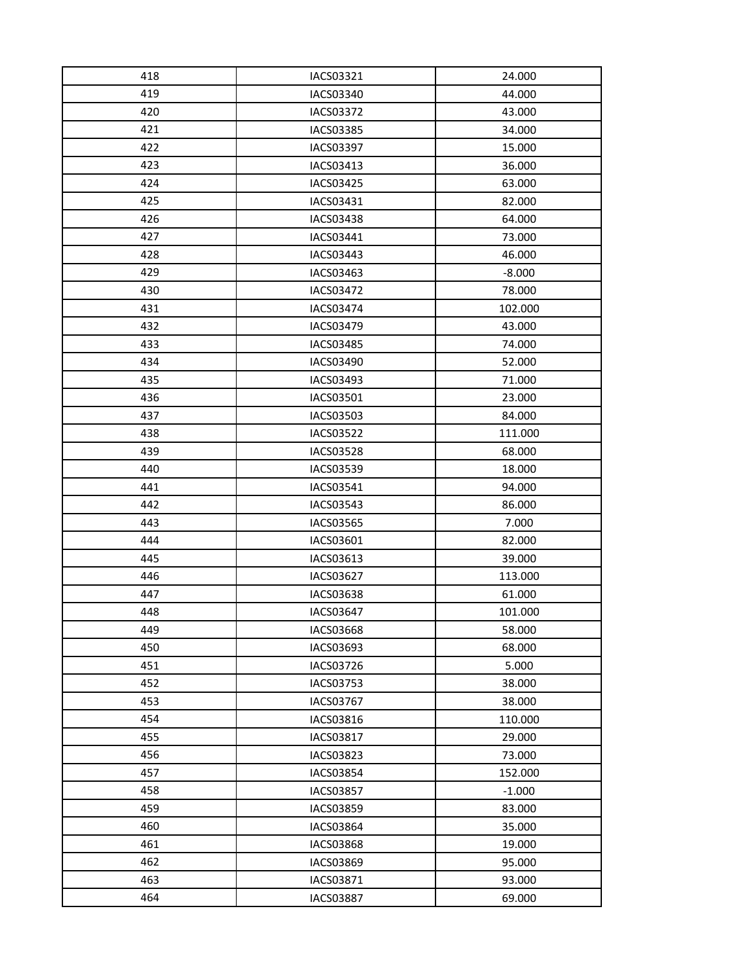| 418 | IACS03321        | 24.000   |
|-----|------------------|----------|
| 419 | IACS03340        | 44.000   |
| 420 | <b>IACS03372</b> | 43.000   |
| 421 | IACS03385        | 34.000   |
| 422 | <b>IACS03397</b> | 15.000   |
| 423 | IACS03413        | 36.000   |
| 424 | IACS03425        | 63.000   |
| 425 | IACS03431        | 82.000   |
| 426 | IACS03438        | 64.000   |
| 427 | IACS03441        | 73.000   |
| 428 | IACS03443        | 46.000   |
| 429 | IACS03463        | $-8.000$ |
| 430 | IACS03472        | 78.000   |
| 431 | <b>IACS03474</b> | 102.000  |
| 432 | <b>IACS03479</b> | 43.000   |
| 433 | IACS03485        | 74.000   |
| 434 | IACS03490        | 52.000   |
| 435 | IACS03493        | 71.000   |
| 436 | IACS03501        | 23.000   |
| 437 | IACS03503        | 84.000   |
| 438 | IACS03522        | 111.000  |
| 439 | <b>IACS03528</b> | 68.000   |
| 440 | IACS03539        | 18.000   |
| 441 | IACS03541        | 94.000   |
| 442 | IACS03543        | 86.000   |
| 443 | <b>IACS03565</b> | 7.000    |
| 444 | IACS03601        | 82.000   |
| 445 | IACS03613        | 39.000   |
| 446 | IACS03627        | 113.000  |
| 447 | <b>IACS03638</b> | 61.000   |
| 448 | <b>IACS03647</b> | 101.000  |
| 449 | IACS03668        | 58.000   |
| 450 | IACS03693        | 68.000   |
| 451 | IACS03726        | 5.000    |
| 452 | IACS03753        | 38.000   |
| 453 | <b>IACS03767</b> | 38.000   |
| 454 | IACS03816        | 110.000  |
| 455 | IACS03817        | 29.000   |
| 456 | IACS03823        | 73.000   |
| 457 | IACS03854        | 152.000  |
| 458 | <b>IACS03857</b> | $-1.000$ |
| 459 | <b>IACS03859</b> | 83.000   |
| 460 | <b>IACS03864</b> | 35.000   |
| 461 | <b>IACS03868</b> | 19.000   |
| 462 | IACS03869        | 95.000   |
| 463 | IACS03871        | 93.000   |
| 464 | <b>IACS03887</b> | 69.000   |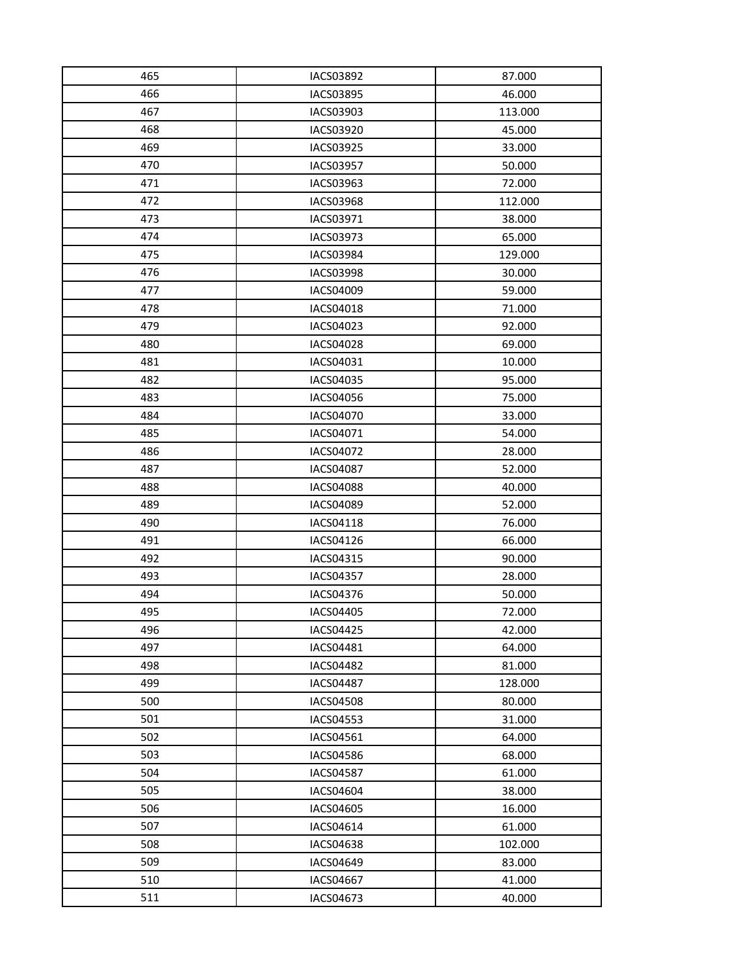| 465 | IACS03892        | 87.000  |
|-----|------------------|---------|
| 466 | IACS03895        | 46.000  |
| 467 | IACS03903        | 113.000 |
| 468 | IACS03920        | 45.000  |
| 469 | IACS03925        | 33.000  |
| 470 | <b>IACS03957</b> | 50.000  |
| 471 | IACS03963        | 72.000  |
| 472 | <b>IACS03968</b> | 112.000 |
| 473 | IACS03971        | 38.000  |
| 474 | IACS03973        | 65.000  |
| 475 | IACS03984        | 129.000 |
| 476 | <b>IACS03998</b> | 30.000  |
| 477 | IACS04009        | 59.000  |
| 478 | IACS04018        | 71.000  |
| 479 | IACS04023        | 92.000  |
| 480 | IACS04028        | 69.000  |
| 481 | IACS04031        | 10.000  |
| 482 | IACS04035        | 95.000  |
| 483 | IACS04056        | 75.000  |
| 484 | IACS04070        | 33.000  |
| 485 | IACS04071        | 54.000  |
| 486 | IACS04072        | 28.000  |
| 487 | IACS04087        | 52.000  |
| 488 | <b>IACS04088</b> | 40.000  |
| 489 | IACS04089        | 52.000  |
| 490 | IACS04118        | 76.000  |
| 491 | IACS04126        | 66.000  |
| 492 | IACS04315        | 90.000  |
| 493 | <b>IACS04357</b> | 28.000  |
| 494 | IACS04376        | 50.000  |
| 495 | IACS04405        | 72.000  |
| 496 | IACS04425        | 42.000  |
| 497 | IACS04481        | 64.000  |
| 498 | <b>IACS04482</b> | 81.000  |
| 499 | IACS04487        | 128.000 |
| 500 | <b>IACS04508</b> | 80.000  |
| 501 | IACS04553        | 31.000  |
| 502 | IACS04561        | 64.000  |
| 503 | <b>IACS04586</b> | 68.000  |
| 504 | <b>IACS04587</b> | 61.000  |
| 505 | IACS04604        | 38.000  |
| 506 | IACS04605        | 16.000  |
| 507 | IACS04614        | 61.000  |
| 508 | <b>IACS04638</b> | 102.000 |
| 509 | IACS04649        | 83.000  |
| 510 | <b>IACS04667</b> | 41.000  |
| 511 | IACS04673        | 40.000  |